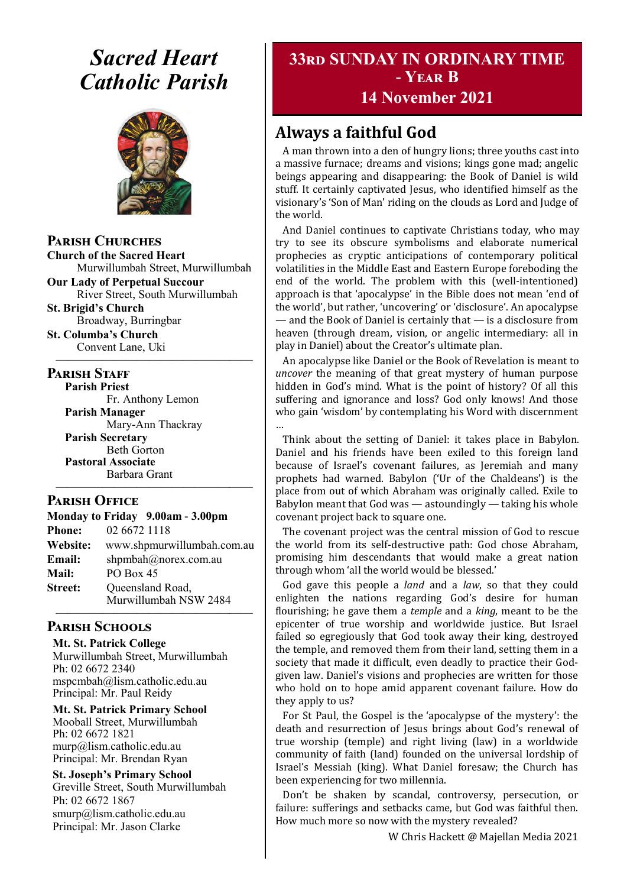# *Sacred Heart Catholic Parish*



**Parish Churches**

**Church of the Sacred Heart** Murwillumbah Street, Murwillumbah

**Our Lady of Perpetual Succour** River Street, South Murwillumbah

**St. Brigid's Church** Broadway, Burringbar

**St. Columba's Church** Convent Lane, Uki —————————————————

#### **PARISH STAFF**

**Parish Priest** Fr. Anthony Lemon

**Parish Manager** Mary-Ann Thackray **Parish Secretary** Beth Gorton **Pastoral Associate** Barbara Grant

#### **Parish Office**

**Monday to Friday 9.00am - 3.00pm Phone:** 02 6672 1118 **Website:** www.shpmurwillumbah.com.au **Email:** shpmbah@norex.com.au **Mail:** PO Box 45 **Street:** Oueensland Road, Murwillumbah NSW 2484 —————————————————

—————————————————

#### **Parish Schools**

**Mt. St. Patrick College** Murwillumbah Street, Murwillumbah Ph: 02 6672 2340 mspcmbah@lism.catholic.edu.au Principal: Mr. Paul Reidy

**Mt. St. Patrick Primary School** Mooball Street, Murwillumbah Ph: 02 6672 1821 murp@lism.catholic.edu.au Principal: Mr. Brendan Ryan

**St. Joseph's Primary School** Greville Street, South Murwillumbah Ph: 02 6672 1867 smurp@lism.catholic.edu.au Principal: Mr. Jason Clarke

# **33rd SUNDAY IN ORDINARY TIME - Year B**

## **14 November 2021**

# **Always a faithful God**

A man thrown into a den of hungry lions; three youths cast into a massive furnace; dreams and visions; kings gone mad; angelic beings appearing and disappearing: the Book of Daniel is wild stuff. It certainly captivated Jesus, who identified himself as the visionary's 'Son of Man' riding on the clouds as Lord and Judge of the world.

And Daniel continues to captivate Christians today, who may try to see its obscure symbolisms and elaborate numerical prophecies as cryptic anticipations of contemporary political volatilities in the Middle East and Eastern Europe foreboding the end of the world. The problem with this (well-intentioned) approach is that 'apocalypse' in the Bible does not mean 'end of the world', but rather, 'uncovering' or 'disclosure'. An apocalypse — and the Book of Daniel is certainly that — is a disclosure from heaven (through dream, vision, or angelic intermediary: all in play in Daniel) about the Creator's ultimate plan.

An apocalypse like Daniel or the Book of Revelation is meant to *uncover* the meaning of that great mystery of human purpose hidden in God's mind. What is the point of history? Of all this suffering and ignorance and loss? God only knows! And those who gain 'wisdom' by contemplating his Word with discernment …

Think about the setting of Daniel: it takes place in Babylon. Daniel and his friends have been exiled to this foreign land because of Israel's covenant failures, as Jeremiah and many prophets had warned. Babylon ('Ur of the Chaldeans') is the place from out of which Abraham was originally called. Exile to Babylon meant that God was  $-$  astoundingly  $-$  taking his whole covenant project back to square one.

The covenant project was the central mission of God to rescue the world from its self-destructive path: God chose Abraham, promising him descendants that would make a great nation through whom 'all the world would be blessed.'

God gave this people a *land* and a *law*, so that they could enlighten the nations regarding God's desire for human flourishing; he gave them a *temple* and a *king*, meant to be the epicenter of true worship and worldwide justice. But Israel failed so egregiously that God took away their king, destroyed the temple, and removed them from their land, setting them in a society that made it difficult, even deadly to practice their Godgiven law. Daniel's visions and prophecies are written for those who hold on to hope amid apparent covenant failure. How do they apply to us?

For St Paul, the Gospel is the 'apocalypse of the mystery': the death and resurrection of Jesus brings about God's renewal of true worship (temple) and right living (law) in a worldwide community of faith (land) founded on the universal lordship of Israel's Messiah (king). What Daniel foresaw; the Church has been experiencing for two millennia.

Don't be shaken by scandal, controversy, persecution, or failure: sufferings and setbacks came, but God was faithful then. How much more so now with the mystery revealed?

W Chris Hackett @ Majellan Media 2021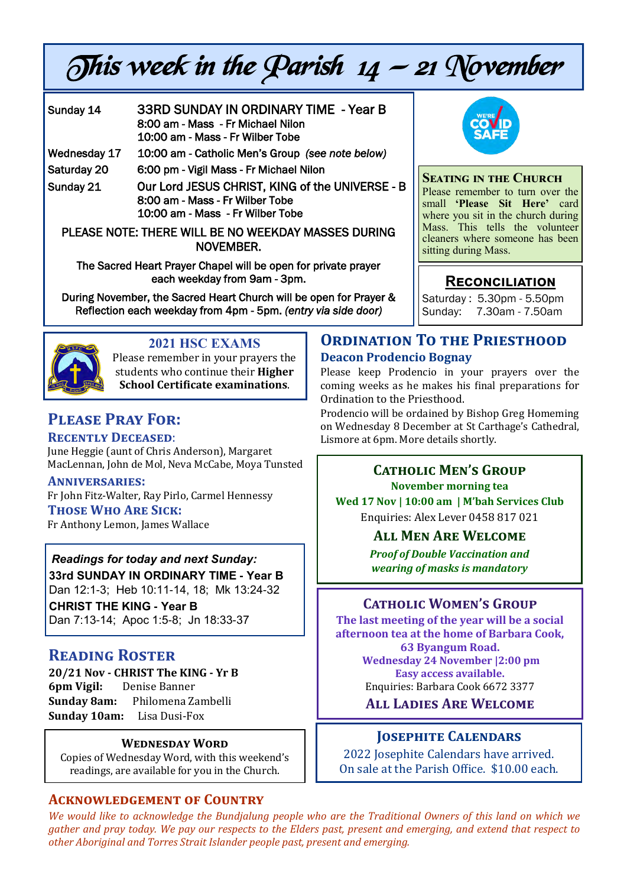# This week in the Parish  $14 - 21$  November

| Sunday 14                                           | <b>33RD SUNDAY IN ORDINARY TIME - Year B</b><br>8:00 am - Mass - Fr Michael Nilon<br>10:00 am - Mass - Fr Wilber Tobe  |
|-----------------------------------------------------|------------------------------------------------------------------------------------------------------------------------|
| Wednesday 17                                        | 10:00 am - Catholic Men's Group (see note below)                                                                       |
| Saturday 20                                         | 6:00 pm - Vigil Mass - Fr Michael Nilon                                                                                |
| Sunday 21                                           | Our Lord JESUS CHRIST, KING of the UNIVERSE - B<br>8:00 am - Mass - Fr Wilber Tobe<br>10:00 am - Mass - Fr Wilber Tobe |
| PLEASE NOTE: THERE WILL BE NO WEEKDAY MASSES DURING |                                                                                                                        |

The Sacred Heart Prayer Chapel will be open for private prayer each weekday from 9am - 3pm.

NOVEMBER.

During November, the Sacred Heart Church will be open for Prayer & Reflection each weekday from 4pm - 5pm. *(entry via side door)* 



# **2021 HSC EXAMS**

Please remember in your prayers the students who continue their **Higher School Certificate examinations**.

# **Please Pray For:**

#### **Recently Deceased**:

June Heggie (aunt of Chris Anderson), Margaret MacLennan, John de Mol, Neva McCabe, Moya Tunsted

**Anniversaries:** 

Fr John Fitz-Walter, Ray Pirlo, Carmel Hennessy

**Those Who Are Sick:**  Fr Anthony Lemon, James Wallace

*Readings for today and next Sunday:*  **33rd SUNDAY IN ORDINARY TIME - Year B**  Dan 12:1-3; Heb 10:11-14, 18; Mk 13:24-32 **CHRIST THE KING - Year B** 

Dan 7:13-14; Apoc 1:5-8; Jn 18:33-37

# **Reading Roster**

**20/21 Nov - CHRIST The KING - Yr B 6pm Vigil:** Denise Banner **Sunday 8am:** Philomena Zambelli **Sunday 10am:** Lisa Dusi-Fox

#### **Wednesday Word**

Copies of Wednesday Word, with this weekend's readings, are available for you in the Church.

#### **Acknowledgement of Country**

*We would like to acknowledge the Bundjalung people who are the Traditional Owners of this land on which we gather and pray today. We pay our respects to the Elders past, present and emerging, and extend that respect to other Aboriginal and Torres Strait Islander people past, present and emerging.* 



#### **Seating in the Church**

Please remember to turn over the small **'Please Sit Here'** card where you sit in the church during Mass. This tells the volunteer cleaners where someone has been sitting during Mass.

## **Reconciliation**

Saturday : 5.30pm - 5.50pm Sunday: 7.30am - 7.50am

#### **ORDINATION TO THE PRIESTHOOD Deacon Prodencio Bognay**

Please keep Prodencio in your prayers over the coming weeks as he makes his final preparations for Ordination to the Priesthood.

Prodencio will be ordained by Bishop Greg Homeming on Wednesday 8 December at St Carthage's Cathedral, Lismore at 6pm. More details shortly.

#### **Catholic Men's Group November morning tea**

**Wed 17 Nov | 10:00 am | M'bah Services Club** Enquiries: Alex Lever 0458 817 021

#### **All Men Are Welcome**

*Proof of Double Vaccination and wearing of masks is mandatory* 

#### **Catholic Women's Group**

**The last meeting of the year will be a social afternoon tea at the home of Barbara Cook, 63 Byangum Road. Wednesday 24 November |2:00 pm Easy access available.**

Enquiries: Barbara Cook 6672 3377

**All Ladies Are Welcome**

#### **Josephite Calendars**

2022 Josephite Calendars have arrived. On sale at the Parish Office. \$10.00 each.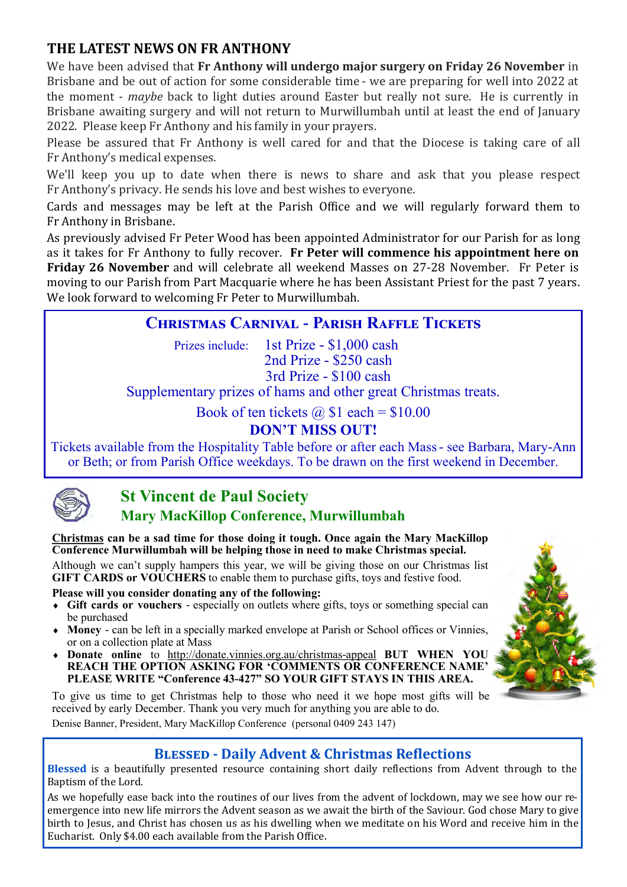# **THE LATEST NEWS ON FR ANTHONY**

We have been advised that **Fr Anthony will undergo major surgery on Friday 26 November** in Brisbane and be out of action for some considerable time - we are preparing for well into 2022 at the moment - *maybe* back to light duties around Easter but really not sure. He is currently in Brisbane awaiting surgery and will not return to Murwillumbah until at least the end of January 2022. Please keep Fr Anthony and his family in your prayers.

Please be assured that Fr Anthony is well cared for and that the Diocese is taking care of all Fr Anthony's medical expenses.

We'll keep you up to date when there is news to share and ask that you please respect Fr Anthony's privacy. He sends his love and best wishes to everyone.

Cards and messages may be left at the Parish Office and we will regularly forward them to Fr Anthony in Brisbane.

As previously advised Fr Peter Wood has been appointed Administrator for our Parish for as long as it takes for Fr Anthony to fully recover. **Fr Peter will commence his appointment here on Friday 26 November** and will celebrate all weekend Masses on 27-28 November. Fr Peter is moving to our Parish from Part Macquarie where he has been Assistant Priest for the past 7 years. We look forward to welcoming Fr Peter to Murwillumbah.

# **Christmas Carnival - Parish Raffle Tickets**

Prizes include: 1st Prize - \$1,000 cash 2nd Prize - \$250 cash 3rd Prize - \$100 cash

Supplementary prizes of hams and other great Christmas treats.

Book of ten tickets  $\omega$  \$1 each = \$10.00

# **DON'T MISS OUT!**

Tickets available from the Hospitality Table before or after each Mass - see Barbara, Mary-Ann or Beth; or from Parish Office weekdays. To be drawn on the first weekend in December.



# **St Vincent de Paul Society**

# **Mary MacKillop Conference, Murwillumbah**

**Christmas can be a sad time for those doing it tough. Once again the Mary MacKillop Conference Murwillumbah will be helping those in need to make Christmas special.**

Although we can't supply hampers this year, we will be giving those on our Christmas list GIFT CARDS or VOUCHERS to enable them to purchase gifts, toys and festive food.

**Please will you consider donating any of the following:**

- **Gift cards or vouchers**  especially on outlets where gifts, toys or something special can be purchased
- **Money**  can be left in a specially marked envelope at Parish or School offices or Vinnies, or on a collection plate at Mass
- **Donate online** to http://donate.vinnies.org.au/christmas-appeal **BUT WHEN YOU REACH THE OPTION ASKING FOR 'COMMENTS OR CONFERENCE NAME' PLEASE WRITE "Conference 43-427" SO YOUR GIFT STAYS IN THIS AREA.**

To give us time to get Christmas help to those who need it we hope most gifts will be received by early December. Thank you very much for anything you are able to do. Denise Banner, President, Mary MacKillop Conference (personal 0409 243 147)



## **Blessed - Daily Advent & Christmas Reflections**

**Blessed** is a beautifully presented resource containing short daily reflections from Advent through to the Baptism of the Lord.

As we hopefully ease back into the routines of our lives from the advent of lockdown, may we see how our reemergence into new life mirrors the Advent season as we await the birth of the Saviour. God chose Mary to give birth to Jesus, and Christ has chosen us as his dwelling when we meditate on his Word and receive him in the Eucharist. Only \$4.00 each available from the Parish Office.